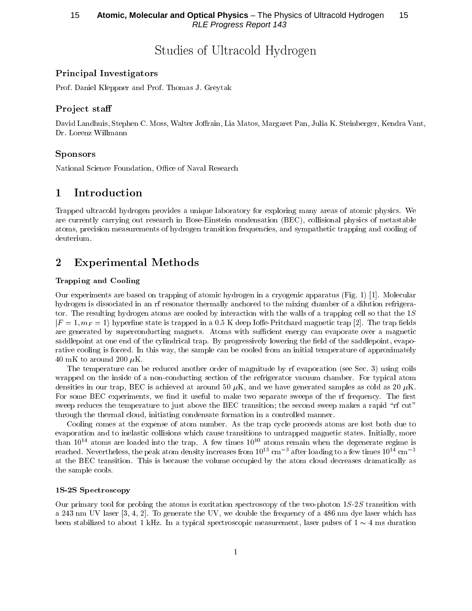# Studies of Ultracold Hydrogen

## **Principal Investigators**

Prof. Daniel Kleppner and Prof. Thomas J. Greytak

### Project staff

David Landhuis, Stephen C. Moss, Walter Joffrain, Lia Matos, Margaret Pan, Julia K. Steinberger, Kendra Vant, Dr. Lorenz Willmann

### **Sponsors**

National Science Foundation, Office of Naval Research

#### Introduction 1

Trapped ultracold hydrogen provides a unique laboratory for exploring many areas of atomic physics. We are currently carrying out research in Bose-Einstein condensation (BEC), collisional physics of metastable atoms, precision measurements of hydrogen transition frequencies, and sympathetic trapping and cooling of deuterium.

#### $\overline{2}$ **Experimental Methods**

### **Trapping and Cooling**

Our experiments are based on trapping of atomic hydrogen in a cryogenic apparatus (Fig. 1) [1]. Molecular hydrogen is dissociated in an rf resonator thermally anchored to the mixing chamber of a dilution refrigerator. The resulting hydrogen atoms are cooled by interaction with the walls of a trapping cell so that the  $1S$  $|F=1, m_F=1\rangle$  hyperfine state is trapped in a 0.5 K deep Ioffe-Pritchard magnetic trap [2]. The trap fields are generated by superconducting magnets. Atoms with sufficient energy can evaporate over a magnetic saddlepoint at one end of the cylindrical trap. By progressively lowering the field of the saddlepoint, evaporative cooling is forced. In this way, the sample can be cooled from an initial temperature of approximately 40 mK to around 200  $\mu$ K.

The temperature can be reduced another order of magnitude by rf evaporation (see Sec. 3) using coils wrapped on the inside of a non-conducting section of the refrigerator vacuum chamber. For typical atom densities in our trap, BEC is achieved at around 50  $\mu$ K, and we have generated samples as cold as 20  $\mu$ K. For some BEC experiments, we find it useful to make two separate sweeps of the rf frequency. The first sweep reduces the temperature to just above the BEC transition; the second sweep makes a rapid "rf cut" through the thermal cloud, initiating condensate formation in a controlled manner.

Cooling comes at the expense of atom number. As the trap cycle proceeds atoms are lost both due to evaporation and to inelastic collisions which cause transitions to untrapped magnetic states. Initially, more than  $10^{14}$  atoms are loaded into the trap. A few times  $10^{10}$  atoms remain when the degenerate regime is reached. Nevertheless, the peak atom density increases from  $10^{13}$  cm<sup>-3</sup> after loading to a few times  $10^{14}$  cm<sup>-3</sup> at the BEC transition. This is because the volume occupied by the atom cloud decreases dramatically as the sample cools.

### 1S-2S Spectroscopy

Our primary tool for probing the atoms is excitation spectroscopy of the two-photon  $1S-2S$  transition with a 243 nm UV laser [3, 4, 2]. To generate the UV, we double the frequency of a 486 nm dye laser which has been stabilized to about 1 kHz. In a typical spectroscopic measurement, laser pulses of  $1 \sim 4$  ms duration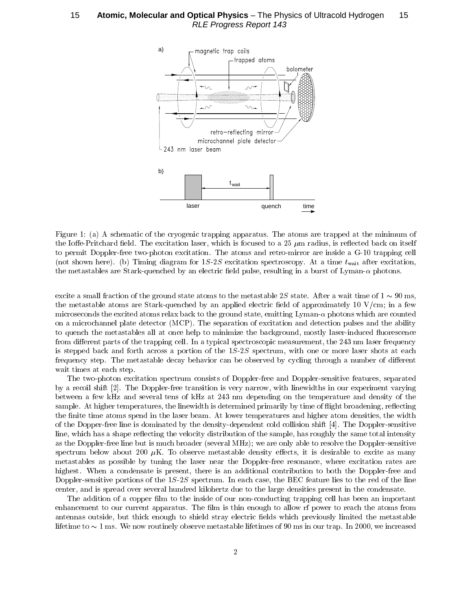15 — Atomic, Molecular and Optical Physics – The Physics of Ultracold Hydrogen — 15 **RLE Progress Report 143** 



Figure 1: (a) A schematic of the cryogenic trapping apparatus. The atoms are trapped at the minimum of the Ioffe-Pritchard field. The excitation laser, which is focused to a 25  $\mu$ m radius, is reflected back on itself to permit Doppler-free two-photon excitation. The atoms and retro-mirror are inside a G-10 trapping cell (not shown here). (b) Timing diagram for  $1S-2S$  excitation spectroscopy. At a time  $t_{\text{wait}}$  after excitation, the metastables are Stark-quenched by an electric field pulse, resulting in a burst of Lyman- $\alpha$  photons.

excite a small fraction of the ground state atoms to the metastable 2S state. After a wait time of  $1 \sim 90$  ms, the metastable atoms are Stark-quenched by an applied electric field of approximately 10 V/cm; in a few microseconds the excited atoms relax back to the ground state, emitting Lyman- $\alpha$  photons which are counted on a microchannel plate detector (MCP). The separation of excitation and detection pulses and the ability to quench the metastables all at once help to minimize the background, mostly laser-induced fluorescence from different parts of the trapping cell. In a typical spectroscopic measurement, the 243 nm laser frequency is stepped back and forth across a portion of the 1S-2S spectrum, with one or more laser shots at each frequency step. The metastable decay behavior can be observed by cycling through a number of different wait times at each step.

The two-photon excitation spectrum consists of Doppler-free and Doppler-sensitive features, separated by a recoil shift [2]. The Doppler-free transition is very narrow, with linewidths in our experiment varying between a few kHz and several tens of kHz at 243 nm depending on the temperature and density of the sample. At higher temperatures, the linewidth is determined primarily by time of flight broadening, reflecting the finite time atoms spend in the laser beam. At lower temperatures and higher atom densities, the width of the Dopper-free line is dominated by the density-dependent cold collision shift [4]. The Doppler-sensitive line, which has a shape reflecting the velocity distribution of the sample, has roughly the same total intensity as the Doppler-free line but is much broader (several MHz); we are only able to resolve the Doppler-sensitive spectrum below about 200  $\mu$ K. To observe metastable density effects, it is desirable to excite as many metastables as possible by tuning the laser near the Doppler-free resonance, where excitation rates are highest. When a condensate is present, there is an additional contribution to both the Doppler-free and Doppler-sensitive portions of the  $1S-2S$  spectrum. In each case, the BEC feature lies to the red of the line center, and is spread over several hundred kilohertz due to the large densities present in the condensate.

The addition of a copper film to the inside of our non-conducting trapping cell has been an important enhancement to our current apparatus. The film is thin enough to allow rf power to reach the atoms from antennas outside, but thick enough to shield stray electric fields which previously limited the metastable lifetime to  $\sim$  1 ms. We now routinely observe metastable lifetimes of 90 ms in our trap. In 2000, we increased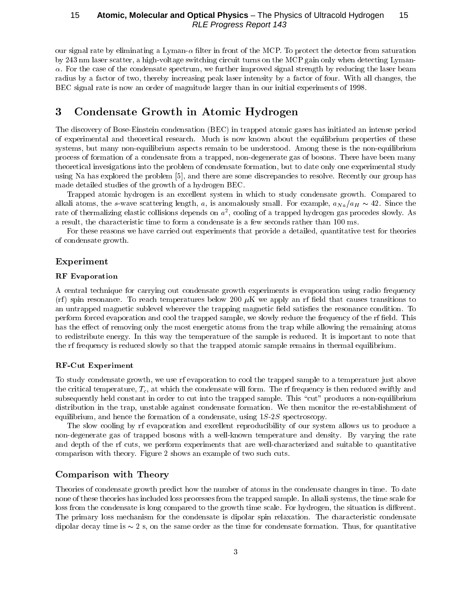our signal rate by eliminating a Lyman- $\alpha$  filter in front of the MCP. To protect the detector from saturation by 243 nm laser scatter, a high-voltage switching circuit turns on the MCP gain only when detecting Lyman- $\alpha$ . For the case of the condensate spectrum, we further improved signal strength by reducing the laser beam radius by a factor of two, thereby increasing peak laser intensity by a factor of four. With all changes, the BEC signal rate is now an order of magnitude larger than in our initial experiments of 1998.

#### Condensate Growth in Atomic Hydrogen 3

The discovery of Bose-Einstein condensation (BEC) in trapped atomic gases has initiated an intense period of experimental and theoretical research. Much is now known about the equilibrium properties of these systems, but many non-equilibrium aspects remain to be understood. Among these is the non-equilibrium process of formation of a condensate from a trapped, non-degenerate gas of bosons. There have been many theoretical invesigations into the problem of condensate formation, but to date only one experimental study using Na has explored the problem [5], and there are some discrepancies to resolve. Recently our group has made detailed studies of the growth of a hydrogen BEC.

Trapped atomic hydrogen is an excellent system in which to study condensate growth. Compared to alkali atoms, the s-wave scattering length, a, is anomalously small. For example,  $a_{Na}/a_H \sim 42$ . Since the rate of thermalizing elastic collisions depends on  $a^2$ , cooling of a trapped hydrogen gas procedes slowly. As a result, the characteristic time to form a condensate is a few seconds rather than 100 ms.

For these reasons we have carried out experiments that provide a detailed, quantitative test for theories of condensate growth.

### Experiment

### **RF** Evaporation

A central technique for carrying out condensate growth experiments is evaporation using radio frequency (rf) spin resonance. To reach temperatures below 200  $\mu$ K we apply an rf field that causes transitions to an untrapped magnetic sublevel wherever the trapping magnetic field satisfies the resonance condition. To perform forced evaporation and cool the trapped sample, we slowly reduce the frequency of the rf field. This has the effect of removing only the most energetic atoms from the trap while allowing the remaining atoms to redistribute energy. In this way the temperature of the sample is reduced. It is important to note that the rf frequency is reduced slowly so that the trapped atomic sample remains in thermal equilibrium.

### **RF-Cut Experiment**

To study condensate growth, we use rf evaporation to cool the trapped sample to a temperature just above the critical temperature,  $T_c$ , at which the condensate will form. The rf frequency is then reduced swiftly and subsequently held constant in order to cut into the trapped sample. This "cut" produces a non-equilibrium distribution in the trap, unstable against condensate formation. We then monitor the re-establishment of equilibrium, and hence the formation of a condensate, using  $1S-2S$  spectroscopy.

The slow cooling by rf evaporation and excellent reproducibility of our system allows us to produce a non-degenerate gas of trapped bosons with a well-known temperature and density. By varying the rate and depth of the rf cuts, we perform experiments that are well-characterized and suitable to quantitative comparison with theory. Figure 2 shows an example of two such cuts.

## Comparison with Theory

Theories of condensate growth predict how the number of atoms in the condensate changes in time. To date none of these theories has included loss processes from the trapped sample. In alkali systems, the time scale for loss from the condensate is long compared to the growth time scale. For hydrogen, the situation is different. The primary loss mechanism for the condensate is dipolar spin relaxation. The characteristic condensate dipolar decay time is  $\sim 2$  s, on the same order as the time for condensate formation. Thus, for quantitative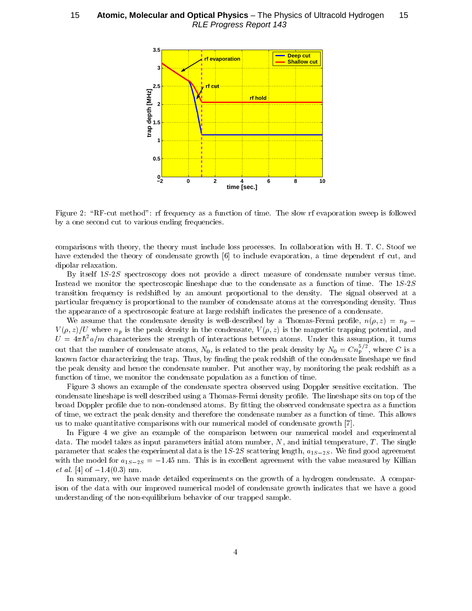

Figure 2: "RF-cut method": rf frequency as a function of time. The slow rf evaporation sweep is followed " & & - ! - \* & 

comparisons when theory who there. Inter more there fore processes, in comparison with it. It C. Decar we + - & !-4 2D3 & - - &  $\alpha$ ,  $\rho$  order relative room.

, 1-: &-& - - & - & " - denotes the contract of the contract of the contract of the contract of the contract of the contract of the contract of the contract of the contract of the contract of the contract of the contract of the contract of the co  $\blacksquare$  . The contract of the contract of the contract of the contract of the contract of the contract of the contract of the contract of the contract of the contract of the contract of the contract of the contract of the c  $\mathcal{L}$  are also are the second and the second the second of the correspond and the corresponding addition  $\mathcal{L}$  . Then executive or a correction of a specification of reading and required intercontent site. Brestering or a correction of

We assume that the condensate density is well-described by a Thomas-Fermi profile,  $n(\rho, z) = n_p$  –  $\mu$ ,  $\mu$ ,  $\alpha$ )  $\beta$  and  $\alpha$  and  $\beta$  of the context of  $\alpha$  of  $\alpha$  is the modern of  $\alpha$  and  $\beta$  of  $\alpha$  and  $\alpha$  $U = 4\pi\hbar^{-}a/m$  characterizes the strength of interactions between atoms. Under this assumption, it turns out that the number of condensate atoms,  $N_0$ , is related to the peak density by  $N_0 = C n_v^{\gamma -}$ , where C is a 4 &- &-& - \$ ! - " 6 ! - & 4 6 & & " - - 4 " - ! executive at exista, and interest exist computed at the polyment of the contracts of existent

Figure 3 shows an example of the condensate spectra observed using Doppler sensitive excitation. The condensate lineshape is well described using a Thomas-Fermi density profile. The lineshape sits on top of the  $\sim$  ,  $\sim$  ,  $\sim$  ,  $\sim$  ,  $\sim$  ,  $\sim$  ,  $\sim$  ,  $\sim$  ,  $\sim$  ,  $\sim$  ,  $\sim$  ,  $\sim$  ,  $\sim$  ,  $\sim$  ,  $\sim$  ,  $\sim$  ,  $\sim$  ,  $\sim$  ,  $\sim$  ,  $\sim$  ,  $\sim$  ,  $\sim$  ,  $\sim$  ,  $\sim$  ,  $\sim$  ,  $\sim$  ,  $\sim$  ,  $\sim$  ,  $\sim$  ,  $\sim$  ,  $\sim$  ,  $\sim$ of critics are extracted the boom weight with the crisis and correctioned framewal to a compute of critical computer we so mission daminimal a combanding and a minimal component interest of component of the angle  $\mathcal{L}$ 

In Figure 4 we give an example of the comparison between our numerical model and experimental  $\alpha$ ,  $\alpha$ ,  $\alpha$ ,  $\alpha$ ,  $\alpha$ ,  $\alpha$ ,  $\alpha$ ,  $\alpha$ ,  $\alpha$ ,  $\alpha$ ,  $\alpha$ ,  $\alpha$ ,  $\alpha$ ,  $\alpha$ ,  $\alpha$ ,  $\alpha$ ,  $\alpha$ ,  $\alpha$ ,  $\alpha$ ,  $\alpha$ ,  $\alpha$ ,  $\alpha$ ,  $\alpha$ ,  $\alpha$ ,  $\alpha$ ,  $\alpha$ ,  $\alpha$ ,  $\alpha$ ,  $\alpha$ ,  $\alpha$ ,  $\alpha$ ,  $\alpha$ ,  $\alpha$ ,  $\alpha$ ,  $\alpha$ ,  $\alpha$ ,  $\alpha$ ,  $\mu$  are annoyed that is also any criminal and in the red sequence in  $\mu$  ,  $\mu$  ,  $\mu$  ,  $\mu$  ,  $\mu$  ,  $\mu$  ,  $\mu$  ,  $\mu$  ,  $\mu$  ,  $\mu$  ,  $\mu$  ,  $\mu$  ,  $\mu$  $\frac{1}{10} - \frac{1}{20}$  . This time to the stress of the secondity who concentrate which we have the concentrate  $\frac{1}{2}$  therefore - 2<3 1</7=0

9 - 4 + - !-4 -! & ; &
-- 4 - 
- - & & !-4 & <sup>4</sup> ! and the second and the mone equal stand second to the second the power second pro-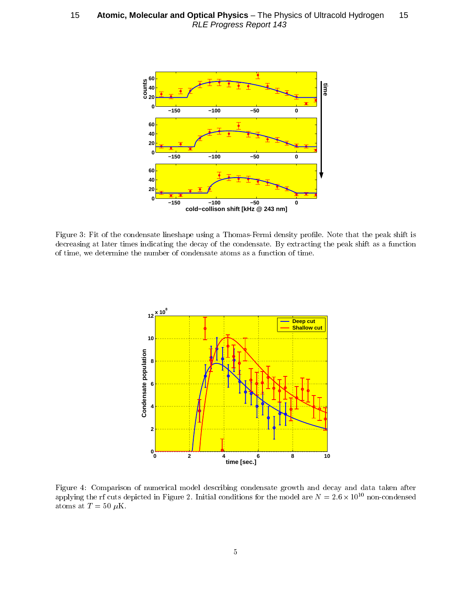15 **- Atomic, Molecular and Optical Physics** - The Physics of Ultracold Hydrogen - 15 RLE Progress Report 143



Figure 3: Fit of the condensate lineshape using a Thomas-Fermi density profile. Note that the peak shift is &- ! - & ! & & , +-& ! & of extract and contribute external of corrections and correction of the correction of the control



Figure 4: Comparison of numerical model describing condensate growth and decay and data taken after applying the rf cuts depicted in Figure 2. Initial conditions for the model are  $N = 2.6 \times 10^{10}$  non-condensed atoms at  $T = 50 \mu K$ .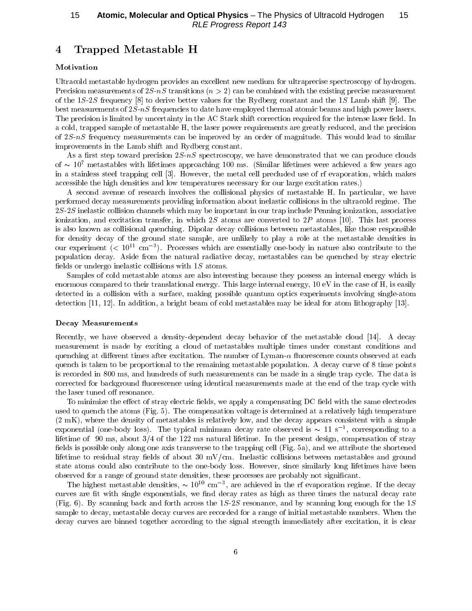#### Trapped Metastable H  $\overline{4}$

### Motivation

Ultracold metastable hydrogen provides an excellent new medium for ultraprecise spectroscopy of hydrogen. Precision measurements of  $2S-nS$  transitions  $(n>2)$  can be combined with the existing precise measurement of the 1S-2S frequency [8] to derive better values for the Rydberg constant and the 1S Lamb shift [9]. The best measurements of 2S-nS frequencies to date have employed thermal atomic beams and high power lasers. The precision is limited by uncertainty in the AC Stark shift correction required for the intense laser field. In a cold, trapped sample of metastable H, the laser power requirements are greatly reduced, and the precision of 2S-nS frequency measurements can be improved by an order of magnitude. This would lead to similar improvements in the Lamb shift and Rydberg constant.

As a first step toward precision  $2S$ -nS spectroscopy, we have demonstrated that we can produce clouds of  $\sim 10^7$  metastables with lifetimes approaching 100 ms. (Similar lifetimes were achieved a few years ago in a stainless steel trapping cell [3]. However, the metal cell precluded use of rf evaporation, which makes accessible the high densities and low temperatures necessary for our large excitation rates.)

A second avenue of research involves the collisional physics of metastable H. In particular, we have performed decay measurements providing information about inelastic collisions in the ultracold regime. The 2S-2S inelastic collision channels which may be important in our trap include Penning ionization, associative ionization, and excitation transfer, in which 2S atoms are converted to 2P atoms [10]. This last process is also known as collisional quenching. Dipolar decay collisions between metastables, like those responsible for density decay of the ground state sample, are unlikely to play a role at the metastable densities in our experiment ( $\rm < 10^{11} \ cm^{-3}$ ). Processes which are essentially one-body in nature also contribute to the population decay. Aside from the natural radiative decay, metastables can be quenched by stray electric fields or undergo inelastic collisions with  $1S$  atoms.

Samples of cold metastable atoms are also interesting because they possess an internal energy which is enormous compared to their translational energy. This large internal energy, 10 eV in the case of H, is easily detected in a collision with a surface, making possible quantum optics experiments involving single-atom detection [11, 12]. In addition, a bright beam of cold metastables may be ideal for atom lithography [13].

#### **Decay Measurements**

Recently, we have observed a density-dependent decay behavior of the metastable cloud [14]. A decay measurement is made by exciting a cloud of metastables multiple times under constant conditions and quenching at different times after excitation. The number of Lyman- $\alpha$  fluorescence counts observed at each quench is taken to be proportional to the remaining metastable population. A decay curve of 8 time points is recorded in 800 ms, and hundreds of such measurements can be made in a single trap cycle. The data is corrected for background fluorescence using identical measurements made at the end of the trap cycle with the laser tuned off resonance.

To minimize the effect of stray electric fields, we apply a compensating DC field with the same electrodes used to quench the atoms (Fig. 5). The compensation voltage is determined at a relatively high temperature (2 mK), where the density of metastables is relatively low, and the decay appears consistent with a simple exponential (one-body loss). The typical minimum decay rate observed is  $\sim 11 \text{ s}^{-1}$ , corresponding to a lifetime of 90 ms, about  $3/4$  of the 122 ms natural lifetime. In the present design, compensation of stray fields is possible only along one axis transverse to the trapping cell (Fig. 5a), and we attribute the shortened lifetime to residual stray fields of about  $30 \text{ mV/cm}$ . Inelastic collisions between metastables and ground state atoms could also contribute to the one-body loss. However, since similarly long lifetimes have been observed for a range of ground state densities, these processes are probably not significant.

The highest metastable densities,  $\sim 10^{10}$  cm<sup>-3</sup>, are achieved in the rf evaporation regime. If the decay curves are fit with single exponentials, we find decay rates as high as three times the natural decay rate (Fig. 6). By scanning back and forth across the  $1S-2S$  resonance, and by scanning long enough for the 1S sample to decay, metastable decay curves are recorded for a range of initial metastable numbers. When the decay curves are binned together according to the signal strength immediately after excitation, it is clear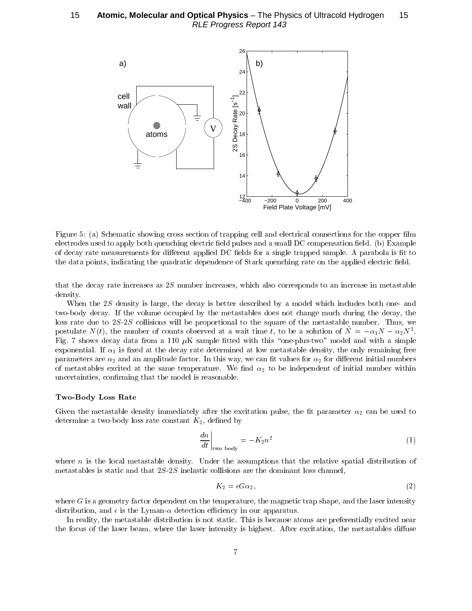

Figure 5: (a) Schematic showing cross section of trapping cell and electrical connections for the copper film &- 

 " \* & ! &- & 6 & 6 /"0 .+ of accept four more extreme for anteriore appricate to iterate for a simple erappea sample, it parassers is no co  $\frac{1}{2}$  ,  $\frac{1}{2}$  ,  $\frac{1}{2}$  ,  $\frac{1}{2}$  ,  $\frac{1}{2}$  ,  $\frac{1}{2}$  ,  $\frac{1}{2}$  ,  $\frac{1}{2}$  ,  $\frac{1}{2}$  ,  $\frac{1}{2}$  ,  $\frac{1}{2}$  ,  $\frac{1}{2}$  ,  $\frac{1}{2}$  ,  $\frac{1}{2}$  ,  $\frac{1}{2}$  ,  $\frac{1}{2}$  ,  $\frac{1}{2}$  ,  $\frac{1}{2}$  ,  $\frac{1$ 

 $\frac{1}{2}$  . The second contract  $\frac{1}{2}$   $\frac{1}{2}$  . The second of  $\frac{1}{2}$  . The second contract of  $\frac{1}{2}$  . The second contract of  $\frac{1}{2}$  

 $\frac{1}{1 + \frac{1}{2}}$  . The compact the second of a second constructed by a literature interaction second called the second second compact of  $\frac{1}{2}$ 4-" & 9 &&
 " " &! & - ! & - :-: & <sup>4</sup> " -- \*- " " - <sup>4</sup>post urate  $N(t)$ , the number of counts observed at a wait time t, to be a solution of  $N = -\alpha_1 N - \alpha_2 N$ . Fig. 7 shows decay data from a 110  $\mu$ K sample fitted with this "one-plus-two" model and with a simple  $\alpha$ ,  $\alpha$ ,  $\alpha$ ,  $\alpha$ ,  $\alpha$  and  $\alpha$  and  $\alpha$  and  $\alpha$  and  $\alpha$  are  $\alpha$  and  $\alpha$  and  $\alpha$  and  $\alpha$  and  $\alpha$  and  $\alpha$ - - - 
 &- 9 4 4 & 6 - - - " - " +& -- 6 " " - 4 & - &6- ! - "

#### $1.70$  D  $0.01$ , D  $0.00$  T  $0.000$

of the measurement welling millenously when the cheromical palet; the hermoter of this second to  $\alpha$  of  $\alpha$  is a set of  $\alpha$  , to so that is a set of  $\alpha$  is a set of  $\alpha$  is a set of  $\alpha$  is a set of  $\alpha$  is a set of  $\alpha$  is a set of  $\alpha$  is a set of  $\alpha$  is a set of  $\alpha$  is a set of  $\alpha$  is a set of  $\alpha$  is a set

$$
\left. \frac{dn}{dt} \right|_{\text{two body}} = -K_2 n^2 \tag{1}
$$

4 -  & " B - - - "  $\mathcal{L}$  . The constant of the complex of  $\mathcal{L}$  and  $\mathcal{L}$  is the constant of the constant of  $\mathcal{L}$  . The constanting of  $\mathcal{L}$ 

$$
K_2 = \epsilon G \alpha_2,\tag{2}
$$

 $\frac{1}{2}$  and  $\frac{1}{2}$  counterfusive appendence on the cemperature integration trap shape, and the need integrate  $\frac{1}{2}$  $\alpha$  abortion and  $\alpha$  and  $\alpha$  aboolish christophy in our apparation.

 $\mathbf{H}$  require  $\mathcal{H}$  and  $\mathbf{H}$  are denoted and  $\mathbf{H}$  are produced. This is proceedise organism or a proroughly carefused from: & - " 4 - - ! ; - +& "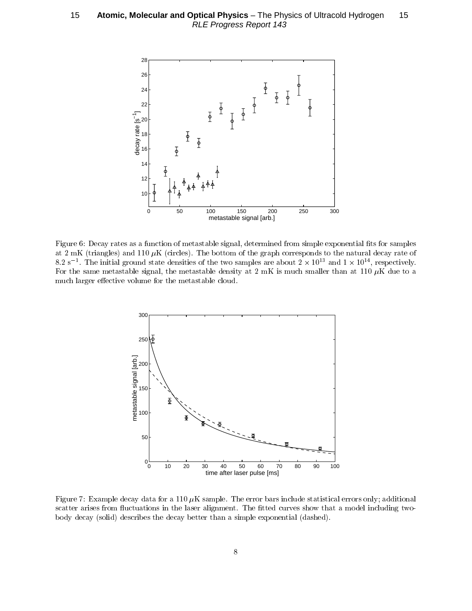

Figure 6: Decay rates as a function of metastable signal, determined from simple exponential fits for samples we **=** inix (executively exist i.e. and (executely). Into secretime of the group from the modern weekly feath of  $8.2~\rm s$  . The initial ground state densities of the two samples are about 2  $\times$  10  $^\circ$  and 1  $\times$  10  $^\circ$  , respectively. For the same metastable signal, the metastable density at 2 mK is much smaller than at 110  $\mu$ K due to a & -! - & - " &



Figure 7: Example decay data for a 110  $\mu$ K sample. The error bars include statistical errors only; additional & - - - G& - ! 6 &- 4 & ! 4- " & / 0 &- " & " - + / 0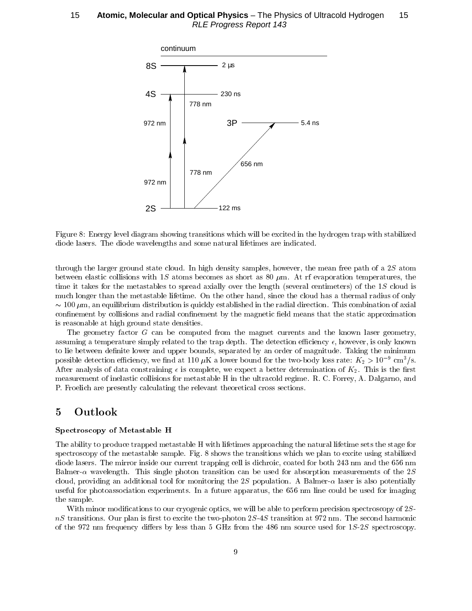

Figure 8: Energy level diagram showing transitions which will be excited in the hydrogen trap with stabilized diode lasers. The diode wavelengths and some natural lifetimes are indicated.

through the larger ground state cloud. In high density samples, however, the mean free path of a  $2S$  atom between elastic collisions with 1S atoms becomes as short as 80  $\mu$ m. At rf evaporation temperatures, the time it takes for the metastables to spread axially over the length (several centimeters) of the 1S cloud is much longer than the metastable lifetime. On the other hand, since the cloud has a thermal radius of only  $\sim$  100  $\mu$ m, an equilibrium distribution is quickly established in the radial direction. This combination of axial confinement by collisions and radial confinement by the magnetic field means that the static approximation is reasonable at high ground state densities.

The geometry factor G can be computed from the magnet currents and the known laser geometry, assuming a temperature simply related to the trap depth. The detection efficiency  $\epsilon$ , however, is only known to lie between definite lower and upper bounds, separated by an order of magnitude. Taking the minimum possible detection efficiency, we find at 110  $\mu$ K a lower bound for the two-body loss rate:  $K_2 > 10^{-9}$  cm<sup>3</sup>/s. After analysis of data constraining  $\epsilon$  is complete, we expect a better determination of  $K_2$ . This is the first measurement of inelastic collisions for metastable H in the ultracold regime. R. C. Forrey, A. Dalgarno, and P. Froelich are presently calculating the relevant theoretical cross sections.

#### Outlook  $\overline{5}$

### Spectroscopy of Metastable H

The ability to produce trapped metastable H with lifetimes approaching the natural lifetime sets the stage for spectroscopy of the metastable sample. Fig. 8 shows the transitions which we plan to excite using stabilized diode lasers. The mirror inside our current trapping cell is dichroic, coated for both 243 nm and the 656 nm Balmer- $\alpha$  wavelength. This single photon transition can be used for absorption measurements of the 2S cloud, providing an additional tool for monitoring the 2S population. A Balmer- $\alpha$  laser is also potentially useful for photoassociation experiments. In a future apparatus, the 656 nm line could be used for imaging the sample.

With minor modifications to our cryogenic optics, we will be able to perform precision spectroscopy of 2S $nS$  transitions. Our plan is first to excite the two-photon  $2S-4S$  transition at 972 nm. The second harmonic of the 972 nm frequency differs by less than  $5 \text{ GHz}$  from the 486 nm source used for  $1S-2S$  spectroscopy.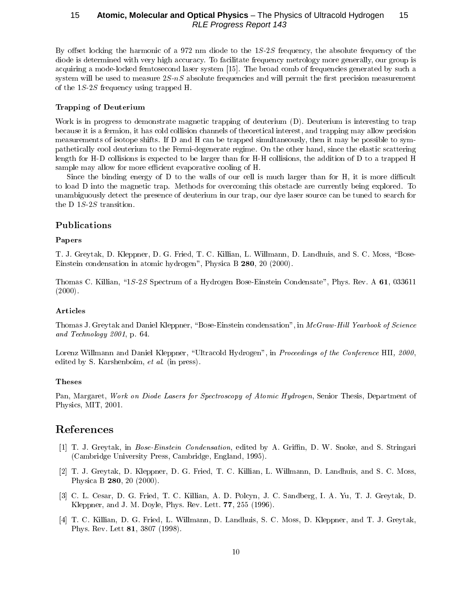By offset locking the harmonic of a 972 nm diode to the  $1S-2S$  frequency, the absolute frequency of the diode is determined with very high accuracy. To facilitate frequency metrology more generally, our group is acquiring a mode-locked femtosecond laser system [15]. The broad comb of frequencies generated by such a system will be used to measure  $2S-nS$  absolute frequencies and will permit the first precision measurement of the  $1S-2S$  frequency using trapped H.

### **Trapping of Deuterium**

Work is in progress to demonstrate magnetic trapping of deuterium (D). Deuterium is interesting to trap because it is a fermion, it has cold collision channels of theoretical interest, and trapping may allow precision measurements of isotope shifts. If D and H can be trapped simultaneously, then it may be possible to sympathetically cool deuterium to the Fermi-degenerate regime. On the other hand, since the elastic scattering length for H-D collisions is expected to be larger than for H-H collisions, the addition of D to a trapped H sample may allow for more efficient evaporative cooling of H.

Since the binding energy of D to the walls of our cell is much larger than for H, it is more difficult to load D into the magnetic trap. Methods for overcoming this obstacle are currently being explored. To unambiguously detect the presence of deuterium in our trap, our dye laser source can be tuned to search for the D  $1S-2S$  transition.

### Publications

#### Papers

T. J. Greytak, D. Kleppner, D. G. Fried, T. C. Killian, L. Willmann, D. Landhuis, and S. C. Moss, "Bose-Einstein condensation in atomic hydrogen", Physica B 280, 20 (2000).

Thomas C. Killian, "1S-2S Spectrum of a Hydrogen Bose-Einstein Condensate", Phys. Rev. A 61, 033611  $(2000).$ 

#### Articles

Thomas J. Greytak and Daniel Kleppner, "Bose-Einstein condensation", in McGraw-Hill Yearbook of Science and Technology  $2001$ , p. 64.

Lorenz Willmann and Daniel Kleppner, "Ultracold Hydrogen", in Proceedings of the Conference HII, 2000, edited by S. Karshenboim, et al. (in press).

### **Theses**

Pan, Margaret, Work on Diode Lasers for Spectroscopy of Atomic Hydrogen, Senior Thesis, Department of Physics, MIT, 2001.

## References

- [1] T. J. Greytak, in *Bose-Einstein Condensation*, edited by A. Griffin, D. W. Snoke, and S. Stringari (Cambridge University Press, Cambridge, England, 1995).
- [2] T. J. Greytak, D. Kleppner, D. G. Fried, T. C. Killian, L. Willmann, D. Landhuis, and S. C. Moss, Physica B 280, 20 (2000).
- [3] C. L. Cesar, D. G. Fried, T. C. Killian, A. D. Polcyn, J. C. Sandberg, I. A. Yu, T. J. Greytak, D. Kleppner, and J. M. Doyle, Phys. Rev. Lett. 77, 255 (1996).
- [4] T. C. Killian, D. G. Fried, L. Willmann, D. Landhuis, S. C. Moss, D. Kleppner, and T. J. Greytak, Phys. Rev. Lett 81, 3807 (1998).